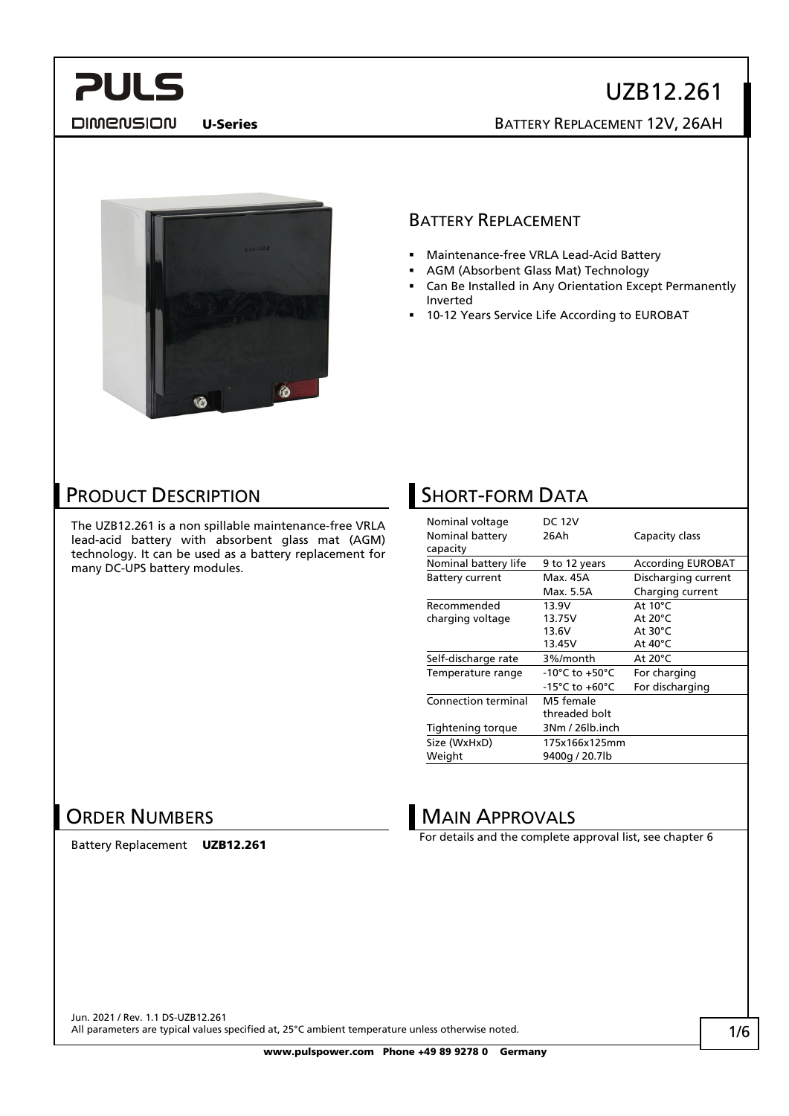#### **DIMENSION**

# UZB12.261

U-Series BATTERY REPLACEMENT 12V, 26AH



#### BATTERY REPLACEMENT

- Maintenance-free VRLA Lead-Acid Battery
- AGM (Absorbent Glass Mat) Technology
- Can Be Installed in Any Orientation Except Permanently Inverted
- 10-12 Years Service Life According to EUROBAT

#### PRODUCT DESCRIPTION

The UZB12.261 is a non spillable maintenance-free VRLA lead-acid battery with absorbent glass mat (AGM) technology. It can be used as a battery replacement for many DC-UPS battery modules.

#### **SHORT-FORM DATA**

| Nominal voltage<br>Nominal battery<br>capacity | <b>DC 12V</b><br>26Ah      | Capacity class           |
|------------------------------------------------|----------------------------|--------------------------|
| Nominal battery life                           | 9 to 12 years              | <b>According EUROBAT</b> |
| <b>Battery current</b>                         | Max. 45A                   | Discharging current      |
|                                                | Max. 5.5A                  | Charging current         |
| Recommended                                    | 13.9V                      | At $10^{\circ}$ C        |
| charging voltage                               | 13.75V                     | At $20^{\circ}$ C        |
|                                                | 13.6V                      | At 30°C                  |
|                                                | 13.45V                     | At 40°C                  |
| Self-discharge rate                            | 3%/month                   | At $20^{\circ}$ C        |
| Temperature range                              | -10°C to +50°C             | For charging             |
|                                                | -15°C to +60°C             | For discharging          |
| Connection terminal                            | M5 female<br>threaded bolt |                          |
| Tightening torque                              | 3Nm / 26lb.inch            |                          |
| Size (WxHxD)                                   | 175x166x125mm              |                          |
| Weight                                         | 9400g / 20.7lb             |                          |

#### ORDER NUMBERS

Battery Replacement UZB12.261

#### MAIN APPROVALS

For details and the complete approval list, see chapter 6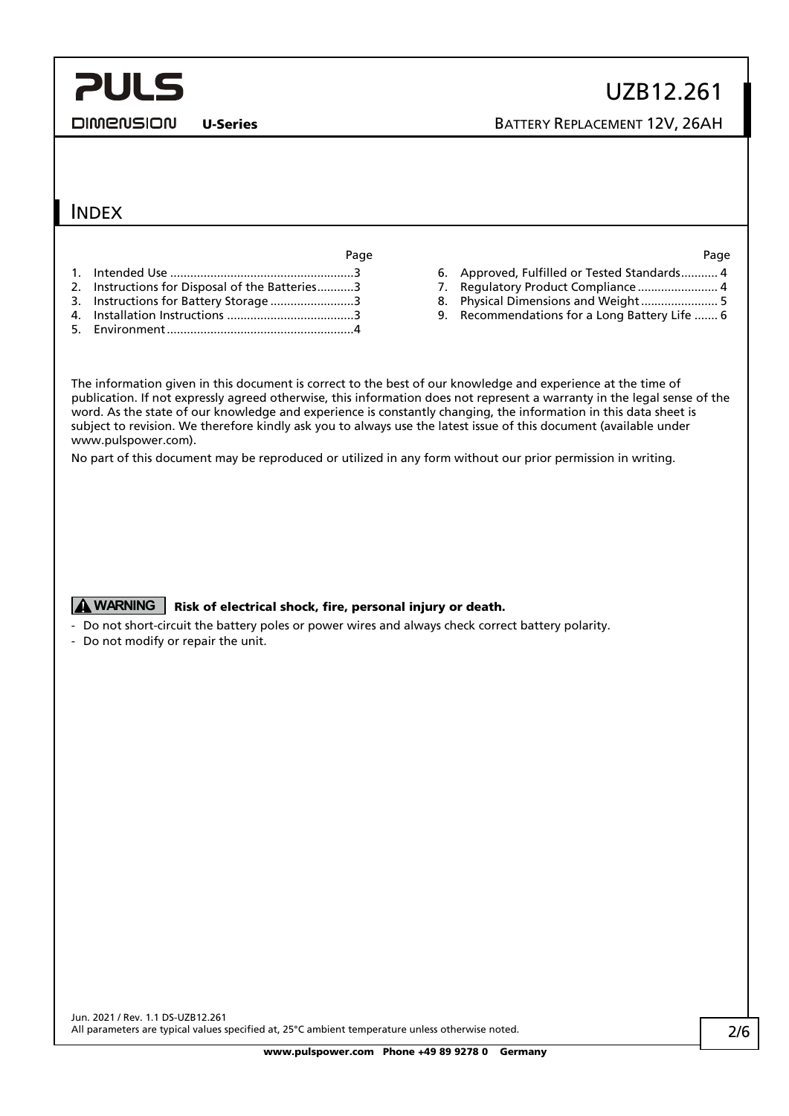DIMENSION

U-Series BATTERY REPLACEMENT 12V, 26AH

#### INDEX

Page Page

- 1. Intended Use [.......................................................3](#page-2-0)
- 2. [Instructions for Disposal of the Batteries...........3](#page-2-1)
- 3. [Instructions for Battery Storage](#page-2-2) .........................3
- 4. Installation Instructions [......................................3](#page-2-3) 5. [Environment........................................................4](#page-3-0)

- 6. [Approved, Fulfilled or Tested Standards...........](#page-3-1) 4
- 7. [Regulatory Product Compliance](#page-3-2) ............................ 4
- 8. [Physical Dimensions and Weight.......................](#page-4-0) 5
- 9. [Recommendations for a Long Battery Life](#page-5-0) ....... 6

The information given in this document is correct to the best of our knowledge and experience at the time of publication. If not expressly agreed otherwise, this information does not represent a warranty in the legal sense of the word. As the state of our knowledge and experience is constantly changing, the information in this data sheet is subject to revision. We therefore kindly ask you to always use the latest issue of this document (available under www.pulspower.com).

No part of this document may be reproduced or utilized in any form without our prior permission in writing.

#### **A WARNING** Risk of electrical shock, fire, personal injury or death.

- Do not short-circuit the battery poles or power wires and always check correct battery polarity.
- Do not modify or repair the unit.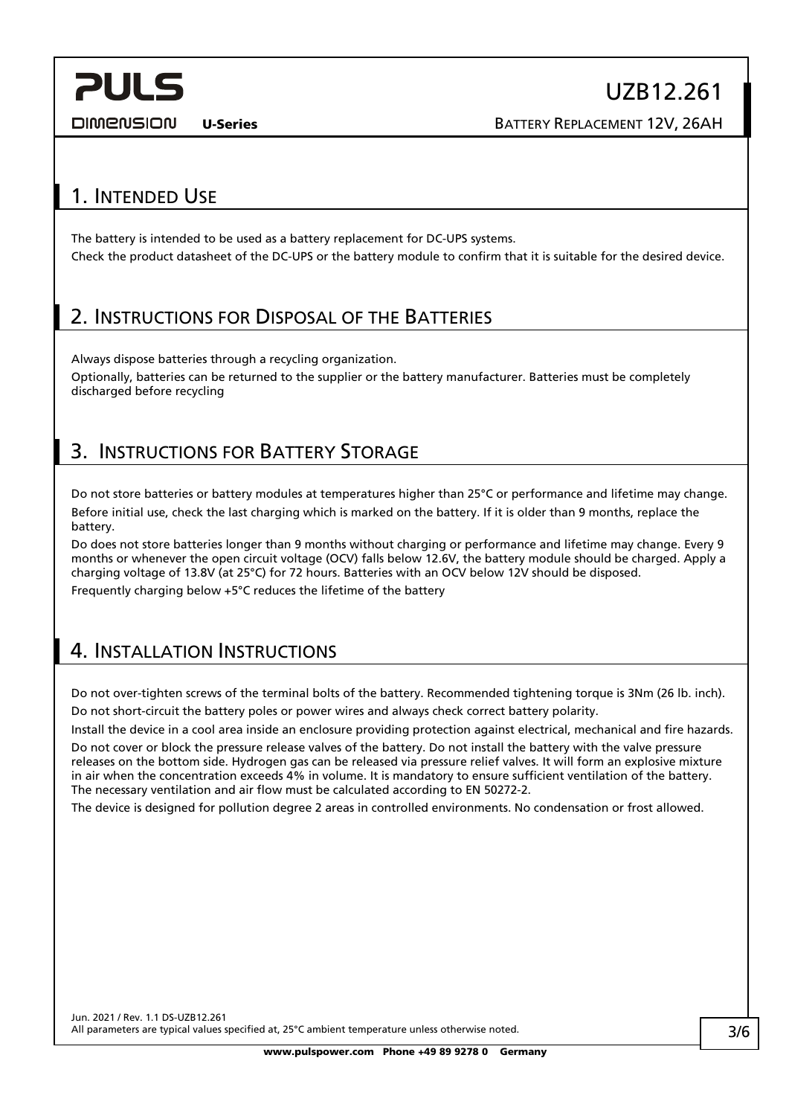DIMENSION

U-Series BATTERY REPLACEMENT 12V, 26AH

#### <span id="page-2-0"></span>1. INTENDED USE

The battery is intended to be used as a battery replacement for DC-UPS systems. Check the product datasheet of the DC-UPS or the battery module to confirm that it is suitable for the desired device.

#### <span id="page-2-1"></span>2. INSTRUCTIONS FOR DISPOSAL OF THE BATTERIES

Always dispose batteries through a recycling organization.

Optionally, batteries can be returned to the supplier or the battery manufacturer. Batteries must be completely discharged before recycling

#### <span id="page-2-2"></span>3. INSTRUCTIONS FOR BATTERY STORAGE

Do not store batteries or battery modules at temperatures higher than 25°C or performance and lifetime may change. Before initial use, check the last charging which is marked on the battery. If it is older than 9 months, replace the battery.

Do does not store batteries longer than 9 months without charging or performance and lifetime may change. Every 9 months or whenever the open circuit voltage (OCV) falls below 12.6V, the battery module should be charged. Apply a charging voltage of 13.8V (at 25°C) for 72 hours. Batteries with an OCV below 12V should be disposed. Frequently charging below +5°C reduces the lifetime of the battery

### <span id="page-2-3"></span>4. INSTALLATION INSTRUCTIONS

Do not over-tighten screws of the terminal bolts of the battery. Recommended tightening torque is 3Nm (26 lb. inch). Do not short-circuit the battery poles or power wires and always check correct battery polarity.

Install the device in a cool area inside an enclosure providing protection against electrical, mechanical and fire hazards.

Do not cover or block the pressure release valves of the battery. Do not install the battery with the valve pressure releases on the bottom side. Hydrogen gas can be released via pressure relief valves. It will form an explosive mixture in air when the concentration exceeds 4% in volume. It is mandatory to ensure sufficient ventilation of the battery. The necessary ventilation and air flow must be calculated according to EN 50272-2.

The device is designed for pollution degree 2 areas in controlled environments. No condensation or frost allowed.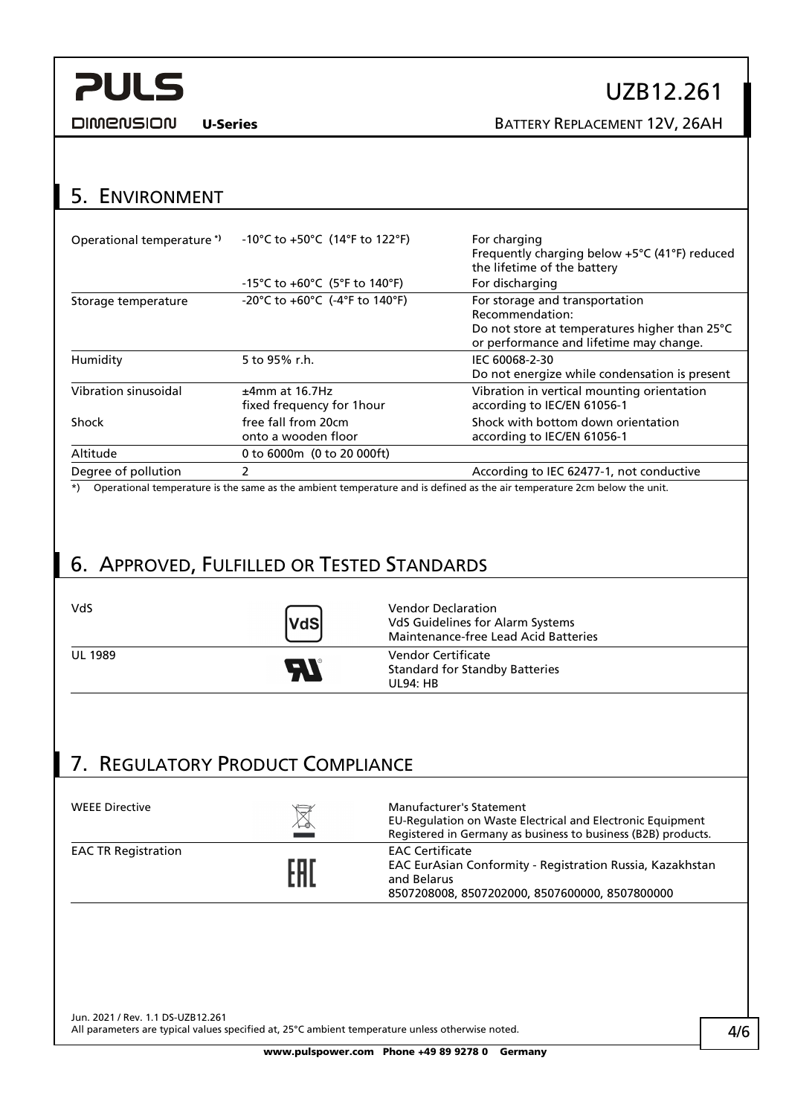**DIMENSION** 

### UZB12.261

U-Series BATTERY REPLACEMENT 12V, 26AH

### <span id="page-3-0"></span>5. ENVIRONMENT

| Operational temperature <sup>*</sup> | -10°C to +50°C (14°F to 122°F)                 | For charging<br>Frequently charging below +5°C (41°F) reduced<br>the lifetime of the battery                                                  |
|--------------------------------------|------------------------------------------------|-----------------------------------------------------------------------------------------------------------------------------------------------|
|                                      | -15°C to $+60^{\circ}$ C (5°F to 140°F)        | For discharging                                                                                                                               |
| Storage temperature                  | -20°C to $+60$ °C (-4°F to 140°F)              | For storage and transportation<br>Recommendation:<br>Do not store at temperatures higher than 25°C<br>or performance and lifetime may change. |
| Humidity                             | 5 to 95% r.h.                                  | IEC 60068-2-30<br>Do not energize while condensation is present                                                                               |
| Vibration sinusoidal                 | $±4mm$ at 16.7Hz<br>fixed frequency for 1 hour | Vibration in vertical mounting orientation<br>according to IEC/EN 61056-1                                                                     |
| Shock                                | free fall from 20cm<br>onto a wooden floor     | Shock with bottom down orientation<br>according to IEC/EN 61056-1                                                                             |
| Altitude                             | 0 to 6000m (0 to 20 000ft)                     |                                                                                                                                               |
| Degree of pollution                  | $\mathcal{P}$                                  | According to IEC 62477-1, not conductive                                                                                                      |
|                                      |                                                | *) Operational temperature is the same as the ambient temperature and is defined as the air temperature 2cm below the unit                    |

ame as the ambient temperature and is defined as the air temperature 2cm below the unit.

### <span id="page-3-1"></span>6. APPROVED, FULFILLED OR TESTED STANDARDS

| VdS            | VdS        | <b>Vendor Declaration</b><br>VdS Guidelines for Alarm Systems<br>Maintenance-free Lead Acid Batteries |
|----------------|------------|-------------------------------------------------------------------------------------------------------|
| <b>UL 1989</b> | <b>Ala</b> | Vendor Certificate<br><b>Standard for Standby Batteries</b><br><b>UL94: HB</b>                        |

### <span id="page-3-2"></span>7. REGULATORY PRODUCT COMPLIANCE

| <b>WEEE Directive</b>      | $\boxtimes$ | <b>Manufacturer's Statement</b><br>EU-Regulation on Waste Electrical and Electronic Equipment<br>Registered in Germany as business to business (B2B) products. |
|----------------------------|-------------|----------------------------------------------------------------------------------------------------------------------------------------------------------------|
| <b>EAC TR Registration</b> | EAN         | <b>EAC Certificate</b><br>EAC EurAsian Conformity - Registration Russia, Kazakhstan<br>and Belarus<br>8507208008, 8507202000, 8507600000, 8507800000           |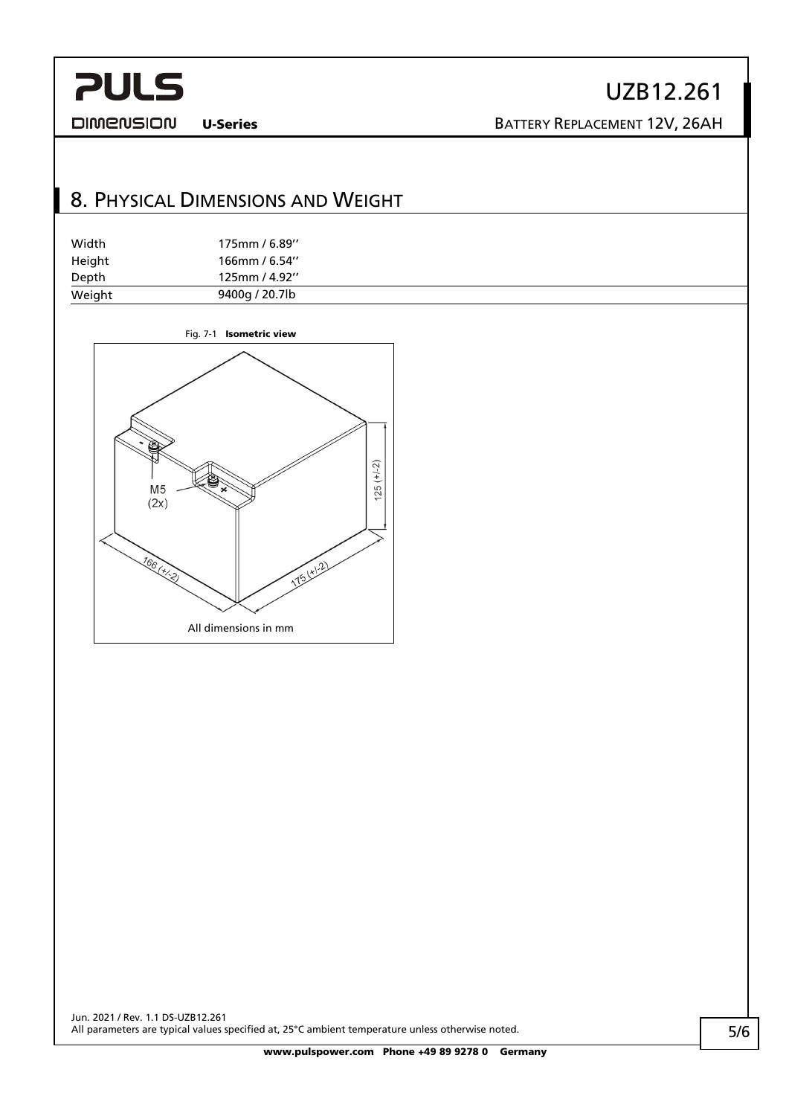**DIMENSION** 

## UZB12.261

U-Series BATTERY REPLACEMENT 12V, 26AH

### <span id="page-4-0"></span>8. PHYSICAL DIMENSIONS AND WEIGHT

| Width  | 175mm / 6.89"  |  |
|--------|----------------|--|
| Height | 166mm / 6.54"  |  |
| Depth  | 125mm / 4.92"  |  |
| Weight | 9400g / 20.7lb |  |